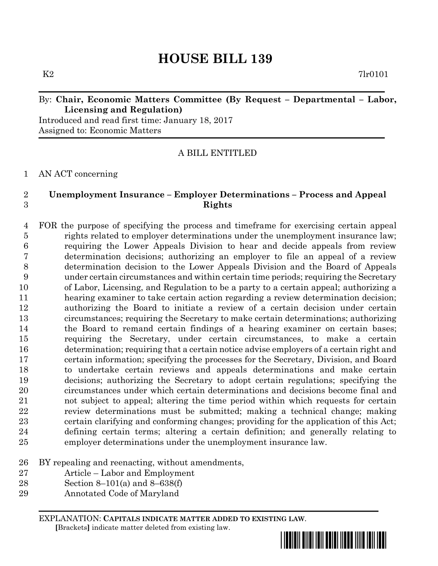$K2$  7lr0101

# By: **Chair, Economic Matters Committee (By Request – Departmental – Labor, Licensing and Regulation)**

Introduced and read first time: January 18, 2017 Assigned to: Economic Matters

A BILL ENTITLED

## AN ACT concerning

## **Unemployment Insurance – Employer Determinations – Process and Appeal Rights**

 FOR the purpose of specifying the process and timeframe for exercising certain appeal rights related to employer determinations under the unemployment insurance law; requiring the Lower Appeals Division to hear and decide appeals from review determination decisions; authorizing an employer to file an appeal of a review determination decision to the Lower Appeals Division and the Board of Appeals under certain circumstances and within certain time periods; requiring the Secretary of Labor, Licensing, and Regulation to be a party to a certain appeal; authorizing a hearing examiner to take certain action regarding a review determination decision; authorizing the Board to initiate a review of a certain decision under certain circumstances; requiring the Secretary to make certain determinations; authorizing the Board to remand certain findings of a hearing examiner on certain bases; requiring the Secretary, under certain circumstances, to make a certain determination; requiring that a certain notice advise employers of a certain right and certain information; specifying the processes for the Secretary, Division, and Board to undertake certain reviews and appeals determinations and make certain decisions; authorizing the Secretary to adopt certain regulations; specifying the circumstances under which certain determinations and decisions become final and not subject to appeal; altering the time period within which requests for certain review determinations must be submitted; making a technical change; making certain clarifying and conforming changes; providing for the application of this Act; defining certain terms; altering a certain definition; and generally relating to employer determinations under the unemployment insurance law.

- BY repealing and reenacting, without amendments,
- Article Labor and Employment
- Section 8–101(a) and 8–638(f)
- Annotated Code of Maryland

EXPLANATION: **CAPITALS INDICATE MATTER ADDED TO EXISTING LAW**.  **[**Brackets**]** indicate matter deleted from existing law.

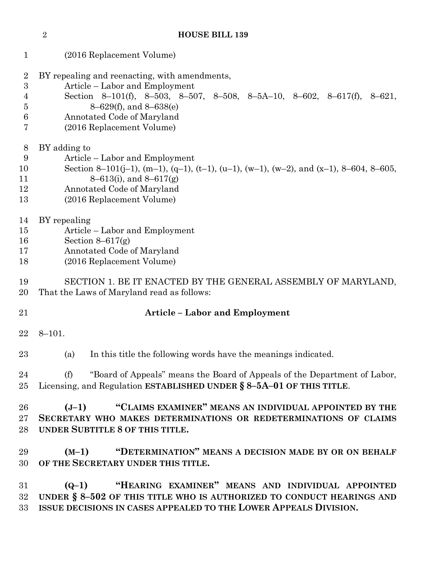(2016 Replacement Volume) BY repealing and reenacting, with amendments, Article – Labor and Employment Section 8–101(f), 8–503, 8–507, 8–508, 8–5A–10, 8–602, 8–617(f), 8–621, 8–629(f), and 8–638(e) Annotated Code of Maryland (2016 Replacement Volume) BY adding to Article – Labor and Employment 10 Section 8–101(j–1), (m–1), (q–1), (t–1), (u–1), (w–1), (w–2), and (x–1), 8–604, 8–605, 8–613(i), and 8–617(g) Annotated Code of Maryland (2016 Replacement Volume) BY repealing Article – Labor and Employment Section 8–617(g) Annotated Code of Maryland (2016 Replacement Volume) SECTION 1. BE IT ENACTED BY THE GENERAL ASSEMBLY OF MARYLAND, That the Laws of Maryland read as follows: **Article – Labor and Employment** 8–101. (a) In this title the following words have the meanings indicated. (f) "Board of Appeals" means the Board of Appeals of the Department of Labor, Licensing, and Regulation **ESTABLISHED UNDER § 8–5A–01 OF THIS TITLE**. **(J–1) "CLAIMS EXAMINER" MEANS AN INDIVIDUAL APPOINTED BY THE SECRETARY WHO MAKES DETERMINATIONS OR REDETERMINATIONS OF CLAIMS UNDER SUBTITLE 8 OF THIS TITLE. (M–1) "DETERMINATION" MEANS A DECISION MADE BY OR ON BEHALF OF THE SECRETARY UNDER THIS TITLE. (Q–1) "HEARING EXAMINER" MEANS AND INDIVIDUAL APPOINTED UNDER § 8–502 OF THIS TITLE WHO IS AUTHORIZED TO CONDUCT HEARINGS AND ISSUE DECISIONS IN CASES APPEALED TO THE LOWER APPEALS DIVISION.**

**HOUSE BILL 139**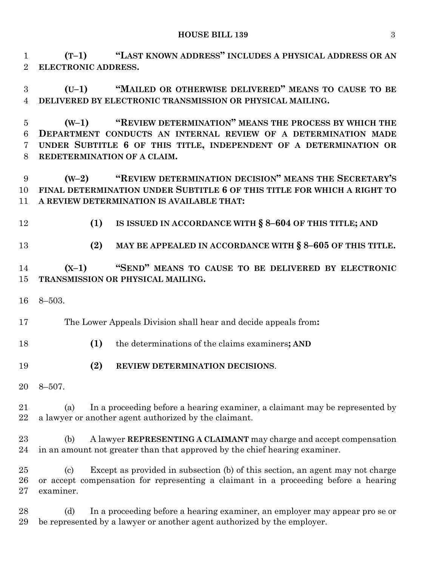**(T–1) "LAST KNOWN ADDRESS" INCLUDES A PHYSICAL ADDRESS OR AN ELECTRONIC ADDRESS.**

 **(U–1) "MAILED OR OTHERWISE DELIVERED" MEANS TO CAUSE TO BE DELIVERED BY ELECTRONIC TRANSMISSION OR PHYSICAL MAILING.**

 **(W–1) "REVIEW DETERMINATION" MEANS THE PROCESS BY WHICH THE DEPARTMENT CONDUCTS AN INTERNAL REVIEW OF A DETERMINATION MADE UNDER SUBTITLE 6 OF THIS TITLE, INDEPENDENT OF A DETERMINATION OR REDETERMINATION OF A CLAIM.**

 **(W–2) "REVIEW DETERMINATION DECISION" MEANS THE SECRETARY'S FINAL DETERMINATION UNDER SUBTITLE 6 OF THIS TITLE FOR WHICH A RIGHT TO A REVIEW DETERMINATION IS AVAILABLE THAT:**

**(1) IS ISSUED IN ACCORDANCE WITH § 8–604 OF THIS TITLE; AND**

**(2) MAY BE APPEALED IN ACCORDANCE WITH § 8–605 OF THIS TITLE.**

 **(X–1) "SEND" MEANS TO CAUSE TO BE DELIVERED BY ELECTRONIC TRANSMISSION OR PHYSICAL MAILING.**

8–503.

The Lower Appeals Division shall hear and decide appeals from**:**

- **(1)** the determinations of the claims examiners**; AND**
- **(2) REVIEW DETERMINATION DECISIONS**.
- 8–507.

 (a) In a proceeding before a hearing examiner, a claimant may be represented by a lawyer or another agent authorized by the claimant.

 (b) A lawyer **REPRESENTING A CLAIMANT** may charge and accept compensation in an amount not greater than that approved by the chief hearing examiner.

 (c) Except as provided in subsection (b) of this section, an agent may not charge or accept compensation for representing a claimant in a proceeding before a hearing examiner.

 (d) In a proceeding before a hearing examiner, an employer may appear pro se or be represented by a lawyer or another agent authorized by the employer.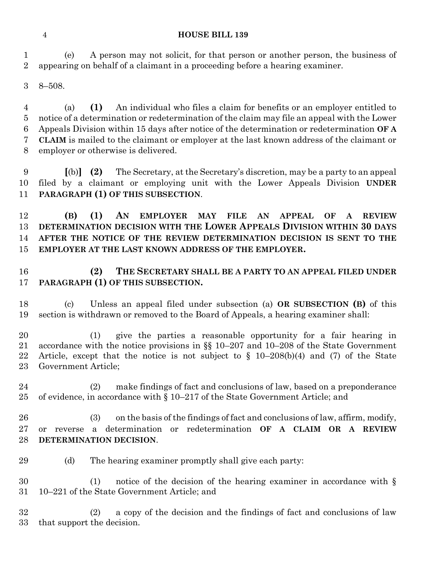(e) A person may not solicit, for that person or another person, the business of appearing on behalf of a claimant in a proceeding before a hearing examiner.

8–508.

 (a) **(1)** An individual who files a claim for benefits or an employer entitled to notice of a determination or redetermination of the claim may file an appeal with the Lower Appeals Division within 15 days after notice of the determination or redetermination **OF A CLAIM** is mailed to the claimant or employer at the last known address of the claimant or employer or otherwise is delivered.

 **[**(b)**] (2)** The Secretary, at the Secretary's discretion, may be a party to an appeal filed by a claimant or employing unit with the Lower Appeals Division **UNDER PARAGRAPH (1) OF THIS SUBSECTION**.

 **(B) (1) AN EMPLOYER MAY FILE AN APPEAL OF A REVIEW DETERMINATION DECISION WITH THE LOWER APPEALS DIVISION WITHIN 30 DAYS AFTER THE NOTICE OF THE REVIEW DETERMINATION DECISION IS SENT TO THE EMPLOYER AT THE LAST KNOWN ADDRESS OF THE EMPLOYER.**

 **(2) THE SECRETARY SHALL BE A PARTY TO AN APPEAL FILED UNDER PARAGRAPH (1) OF THIS SUBSECTION.**

 (c) Unless an appeal filed under subsection (a) **OR SUBSECTION (B)** of this section is withdrawn or removed to the Board of Appeals, a hearing examiner shall:

 (1) give the parties a reasonable opportunity for a fair hearing in accordance with the notice provisions in §§ 10–207 and 10–208 of the State Government Article, except that the notice is not subject to § 10–208(b)(4) and (7) of the State Government Article;

 (2) make findings of fact and conclusions of law, based on a preponderance of evidence, in accordance with § 10–217 of the State Government Article; and

 (3) on the basis of the findings of fact and conclusions of law, affirm, modify, or reverse a determination or redetermination **OF A CLAIM OR A REVIEW DETERMINATION DECISION**.

(d) The hearing examiner promptly shall give each party:

 (1) notice of the decision of the hearing examiner in accordance with § 10–221 of the State Government Article; and

 (2) a copy of the decision and the findings of fact and conclusions of law that support the decision.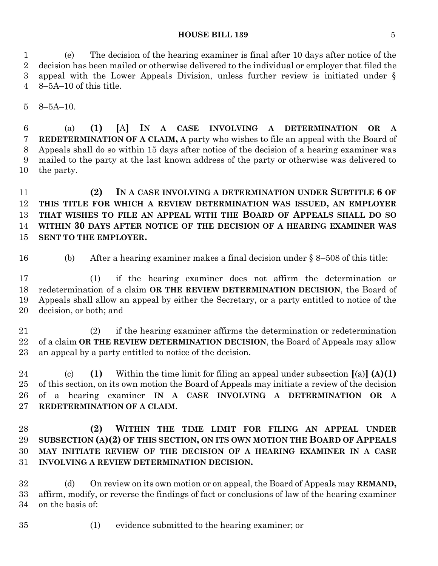## **HOUSE BILL 139** 5

 (e) The decision of the hearing examiner is final after 10 days after notice of the decision has been mailed or otherwise delivered to the individual or employer that filed the appeal with the Lower Appeals Division, unless further review is initiated under § 8–5A–10 of this title.

8–5A–10.

 (a) **(1) [**A**] IN A CASE INVOLVING A DETERMINATION OR A REDETERMINATION OF A CLAIM, A** party who wishes to file an appeal with the Board of Appeals shall do so within 15 days after notice of the decision of a hearing examiner was mailed to the party at the last known address of the party or otherwise was delivered to the party.

 **(2) IN A CASE INVOLVING A DETERMINATION UNDER SUBTITLE 6 OF THIS TITLE FOR WHICH A REVIEW DETERMINATION WAS ISSUED, AN EMPLOYER THAT WISHES TO FILE AN APPEAL WITH THE BOARD OF APPEALS SHALL DO SO WITHIN 30 DAYS AFTER NOTICE OF THE DECISION OF A HEARING EXAMINER WAS SENT TO THE EMPLOYER.**

(b) After a hearing examiner makes a final decision under § 8–508 of this title:

 (1) if the hearing examiner does not affirm the determination or redetermination of a claim **OR THE REVIEW DETERMINATION DECISION**, the Board of Appeals shall allow an appeal by either the Secretary, or a party entitled to notice of the decision, or both; and

 (2) if the hearing examiner affirms the determination or redetermination of a claim **OR THE REVIEW DETERMINATION DECISION**, the Board of Appeals may allow an appeal by a party entitled to notice of the decision.

 (c) **(1)** Within the time limit for filing an appeal under subsection **[**(a)**] (A)(1)** of this section, on its own motion the Board of Appeals may initiate a review of the decision of a hearing examiner **IN A CASE INVOLVING A DETERMINATION OR A REDETERMINATION OF A CLAIM**.

 **(2) WITHIN THE TIME LIMIT FOR FILING AN APPEAL UNDER SUBSECTION (A)(2) OF THIS SECTION, ON ITS OWN MOTION THE BOARD OF APPEALS MAY INITIATE REVIEW OF THE DECISION OF A HEARING EXAMINER IN A CASE INVOLVING A REVIEW DETERMINATION DECISION.**

 (d) On review on its own motion or on appeal, the Board of Appeals may **REMAND,** affirm, modify, or reverse the findings of fact or conclusions of law of the hearing examiner on the basis of:

(1) evidence submitted to the hearing examiner; or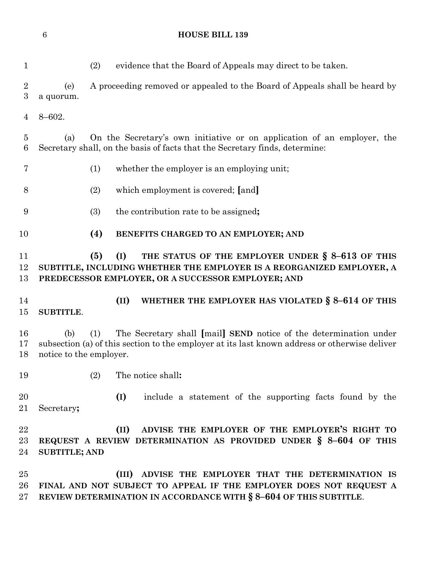| $\mathbf{1}$                       | (2)<br>evidence that the Board of Appeals may direct to be taken.                                                                                                                                           |
|------------------------------------|-------------------------------------------------------------------------------------------------------------------------------------------------------------------------------------------------------------|
| $\overline{2}$<br>$\boldsymbol{3}$ | A proceeding removed or appealed to the Board of Appeals shall be heard by<br>(e)<br>a quorum.                                                                                                              |
| 4                                  | $8 - 602.$                                                                                                                                                                                                  |
| $\overline{5}$<br>6                | On the Secretary's own initiative or on application of an employer, the<br>(a)<br>Secretary shall, on the basis of facts that the Secretary finds, determine:                                               |
| 7                                  | (1)<br>whether the employer is an employing unit;                                                                                                                                                           |
| 8                                  | (2)<br>which employment is covered; [and]                                                                                                                                                                   |
| 9                                  | (3)<br>the contribution rate to be assigned;                                                                                                                                                                |
| 10                                 | (4)<br>BENEFITS CHARGED TO AN EMPLOYER; AND                                                                                                                                                                 |
| 11<br>12<br>13                     | (5)<br>(I)<br>THE STATUS OF THE EMPLOYER UNDER § 8-613 OF THIS<br>SUBTITLE, INCLUDING WHETHER THE EMPLOYER IS A REORGANIZED EMPLOYER, A<br>PREDECESSOR EMPLOYER, OR A SUCCESSOR EMPLOYER; AND               |
| 14<br>15                           | WHETHER THE EMPLOYER HAS VIOLATED § 8-614 OF THIS<br>(II)<br><b>SUBTITLE.</b>                                                                                                                               |
| 16<br>17<br>18                     | The Secretary shall [mail] SEND notice of the determination under<br>(b)<br>(1)<br>subsection (a) of this section to the employer at its last known address or otherwise deliver<br>notice to the employer. |
| 19                                 | The notice shall:<br>(2)                                                                                                                                                                                    |
| 20<br>21                           | include a statement of the supporting facts found by the<br>(I)<br>Secretary;                                                                                                                               |
| $\bf{22}$<br>23<br>24              | ADVISE THE EMPLOYER OF THE EMPLOYER'S RIGHT TO<br>(II)<br>REQUEST A REVIEW DETERMINATION AS PROVIDED UNDER $\S$ 8-604 OF THIS<br><b>SUBTITLE; AND</b>                                                       |
| 25<br>26<br>27                     | ADVISE THE EMPLOYER THAT THE DETERMINATION IS<br>(III)<br>FINAL AND NOT SUBJECT TO APPEAL IF THE EMPLOYER DOES NOT REQUEST A<br>REVIEW DETERMINATION IN ACCORDANCE WITH § 8-604 OF THIS SUBTITLE.           |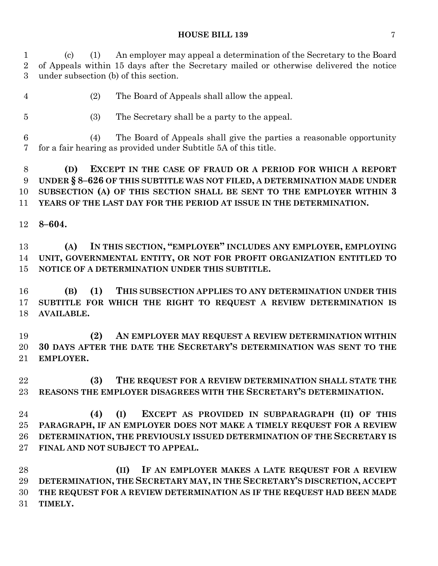### **HOUSE BILL 139** 7

 (c) (1) An employer may appeal a determination of the Secretary to the Board of Appeals within 15 days after the Secretary mailed or otherwise delivered the notice under subsection (b) of this section.

- (2) The Board of Appeals shall allow the appeal.
- (3) The Secretary shall be a party to the appeal.
- (4) The Board of Appeals shall give the parties a reasonable opportunity for a fair hearing as provided under Subtitle 5A of this title.
- **(D) EXCEPT IN THE CASE OF FRAUD OR A PERIOD FOR WHICH A REPORT UNDER § 8–626 OF THIS SUBTITLE WAS NOT FILED, A DETERMINATION MADE UNDER SUBSECTION (A) OF THIS SECTION SHALL BE SENT TO THE EMPLOYER WITHIN 3 YEARS OF THE LAST DAY FOR THE PERIOD AT ISSUE IN THE DETERMINATION.**
- **8–604.**

 **(A) IN THIS SECTION, "EMPLOYER" INCLUDES ANY EMPLOYER, EMPLOYING UNIT, GOVERNMENTAL ENTITY, OR NOT FOR PROFIT ORGANIZATION ENTITLED TO NOTICE OF A DETERMINATION UNDER THIS SUBTITLE.**

 **(B) (1) THIS SUBSECTION APPLIES TO ANY DETERMINATION UNDER THIS SUBTITLE FOR WHICH THE RIGHT TO REQUEST A REVIEW DETERMINATION IS AVAILABLE.**

 **(2) AN EMPLOYER MAY REQUEST A REVIEW DETERMINATION WITHIN 30 DAYS AFTER THE DATE THE SECRETARY'S DETERMINATION WAS SENT TO THE EMPLOYER.**

 **(3) THE REQUEST FOR A REVIEW DETERMINATION SHALL STATE THE REASONS THE EMPLOYER DISAGREES WITH THE SECRETARY'S DETERMINATION.**

 **(4) (I) EXCEPT AS PROVIDED IN SUBPARAGRAPH (II) OF THIS PARAGRAPH, IF AN EMPLOYER DOES NOT MAKE A TIMELY REQUEST FOR A REVIEW DETERMINATION, THE PREVIOUSLY ISSUED DETERMINATION OF THE SECRETARY IS FINAL AND NOT SUBJECT TO APPEAL.**

 **(II) IF AN EMPLOYER MAKES A LATE REQUEST FOR A REVIEW DETERMINATION, THE SECRETARY MAY, IN THE SECRETARY'S DISCRETION, ACCEPT THE REQUEST FOR A REVIEW DETERMINATION AS IF THE REQUEST HAD BEEN MADE TIMELY.**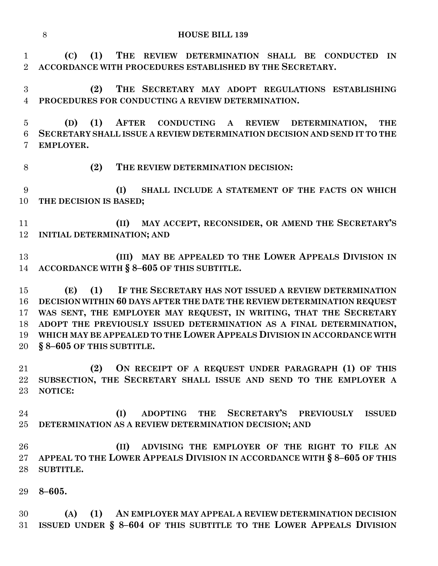**(C) (1) THE REVIEW DETERMINATION SHALL BE CONDUCTED IN ACCORDANCE WITH PROCEDURES ESTABLISHED BY THE SECRETARY.**

 **(2) THE SECRETARY MAY ADOPT REGULATIONS ESTABLISHING PROCEDURES FOR CONDUCTING A REVIEW DETERMINATION.**

 **(D) (1) AFTER CONDUCTING A REVIEW DETERMINATION, THE SECRETARY SHALL ISSUE A REVIEW DETERMINATION DECISION AND SEND IT TO THE EMPLOYER.**

**(2) THE REVIEW DETERMINATION DECISION:**

 **(I) SHALL INCLUDE A STATEMENT OF THE FACTS ON WHICH THE DECISION IS BASED;**

 **(II) MAY ACCEPT, RECONSIDER, OR AMEND THE SECRETARY'S INITIAL DETERMINATION; AND**

 **(III) MAY BE APPEALED TO THE LOWER APPEALS DIVISION IN ACCORDANCE WITH § 8–605 OF THIS SUBTITLE.**

 **(E) (1) IF THE SECRETARY HAS NOT ISSUED A REVIEW DETERMINATION DECISION WITHIN 60 DAYS AFTER THE DATE THE REVIEW DETERMINATION REQUEST WAS SENT, THE EMPLOYER MAY REQUEST, IN WRITING, THAT THE SECRETARY ADOPT THE PREVIOUSLY ISSUED DETERMINATION AS A FINAL DETERMINATION, WHICH MAY BE APPEALED TO THE LOWER APPEALS DIVISION IN ACCORDANCE WITH § 8–605 OF THIS SUBTITLE.**

 **(2) ON RECEIPT OF A REQUEST UNDER PARAGRAPH (1) OF THIS SUBSECTION, THE SECRETARY SHALL ISSUE AND SEND TO THE EMPLOYER A NOTICE:**

 **(I) ADOPTING THE SECRETARY'S PREVIOUSLY ISSUED DETERMINATION AS A REVIEW DETERMINATION DECISION; AND**

 **(II) ADVISING THE EMPLOYER OF THE RIGHT TO FILE AN APPEAL TO THE LOWER APPEALS DIVISION IN ACCORDANCE WITH § 8–605 OF THIS SUBTITLE.**

**8–605.**

 **(A) (1) AN EMPLOYER MAY APPEAL A REVIEW DETERMINATION DECISION ISSUED UNDER § 8–604 OF THIS SUBTITLE TO THE LOWER APPEALS DIVISION**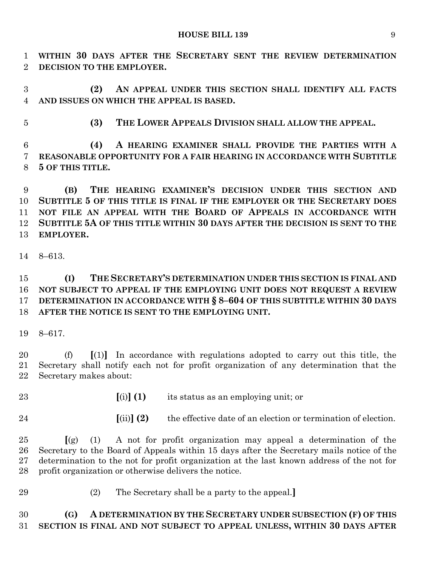**WITHIN 30 DAYS AFTER THE SECRETARY SENT THE REVIEW DETERMINATION DECISION TO THE EMPLOYER.**

 **(2) AN APPEAL UNDER THIS SECTION SHALL IDENTIFY ALL FACTS AND ISSUES ON WHICH THE APPEAL IS BASED.**

**(3) THE LOWER APPEALS DIVISION SHALL ALLOW THE APPEAL.**

 **(4) A HEARING EXAMINER SHALL PROVIDE THE PARTIES WITH A REASONABLE OPPORTUNITY FOR A FAIR HEARING IN ACCORDANCE WITH SUBTITLE 5 OF THIS TITLE.**

 **(B) THE HEARING EXAMINER'S DECISION UNDER THIS SECTION AND SUBTITLE 5 OF THIS TITLE IS FINAL IF THE EMPLOYER OR THE SECRETARY DOES NOT FILE AN APPEAL WITH THE BOARD OF APPEALS IN ACCORDANCE WITH SUBTITLE 5A OF THIS TITLE WITHIN 30 DAYS AFTER THE DECISION IS SENT TO THE EMPLOYER.**

8–613.

 **(I) THE SECRETARY'S DETERMINATION UNDER THIS SECTION IS FINAL AND NOT SUBJECT TO APPEAL IF THE EMPLOYING UNIT DOES NOT REQUEST A REVIEW DETERMINATION IN ACCORDANCE WITH § 8–604 OF THIS SUBTITLE WITHIN 30 DAYS AFTER THE NOTICE IS SENT TO THE EMPLOYING UNIT.**

8–617.

 (f) **[**(1)**]** In accordance with regulations adopted to carry out this title, the Secretary shall notify each not for profit organization of any determination that the Secretary makes about:

- 
- **[**(i)**] (1)** its status as an employing unit; or
- 
- **[**(ii)**] (2)** the effective date of an election or termination of election.

 **[**(g) (1) A not for profit organization may appeal a determination of the Secretary to the Board of Appeals within 15 days after the Secretary mails notice of the determination to the not for profit organization at the last known address of the not for profit organization or otherwise delivers the notice.

(2) The Secretary shall be a party to the appeal.**]**

 **(G) A DETERMINATION BY THE SECRETARY UNDER SUBSECTION (F) OF THIS SECTION IS FINAL AND NOT SUBJECT TO APPEAL UNLESS, WITHIN 30 DAYS AFTER**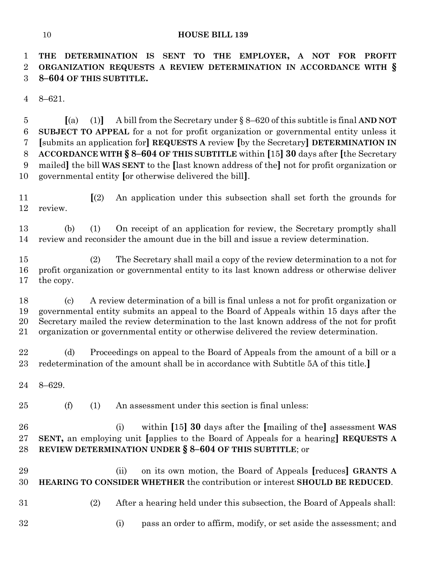**THE DETERMINATION IS SENT TO THE EMPLOYER, A NOT FOR PROFIT ORGANIZATION REQUESTS A REVIEW DETERMINATION IN ACCORDANCE WITH § 8–604 OF THIS SUBTITLE.**

8–621.

 **[**(a) (1)**]** A bill from the Secretary under § 8–620 of this subtitle is final **AND NOT SUBJECT TO APPEAL** for a not for profit organization or governmental entity unless it **[**submits an application for**] REQUESTS A** review **[**by the Secretary**] DETERMINATION IN ACCORDANCE WITH § 8–604 OF THIS SUBTITLE** within **[**15**] 30** days after **[**the Secretary mailed**]** the bill **WAS SENT** to the **[**last known address of the**]** not for profit organization or governmental entity **[**or otherwise delivered the bill**]**.

 **[**(2) An application under this subsection shall set forth the grounds for review.

 (b) (1) On receipt of an application for review, the Secretary promptly shall review and reconsider the amount due in the bill and issue a review determination.

 (2) The Secretary shall mail a copy of the review determination to a not for profit organization or governmental entity to its last known address or otherwise deliver the copy.

 (c) A review determination of a bill is final unless a not for profit organization or governmental entity submits an appeal to the Board of Appeals within 15 days after the Secretary mailed the review determination to the last known address of the not for profit organization or governmental entity or otherwise delivered the review determination.

 (d) Proceedings on appeal to the Board of Appeals from the amount of a bill or a redetermination of the amount shall be in accordance with Subtitle 5A of this title.**]**

8–629.

(f) (1) An assessment under this section is final unless:

 (i) within **[**15**] 30** days after the **[**mailing of the**]** assessment **WAS SENT,** an employing unit **[**applies to the Board of Appeals for a hearing**] REQUESTS A REVIEW DETERMINATION UNDER § 8–604 OF THIS SUBTITLE**; or

 (ii) on its own motion, the Board of Appeals **[**reduces**] GRANTS A HEARING TO CONSIDER WHETHER** the contribution or interest **SHOULD BE REDUCED**.

- 
- (2) After a hearing held under this subsection, the Board of Appeals shall:
- (i) pass an order to affirm, modify, or set aside the assessment; and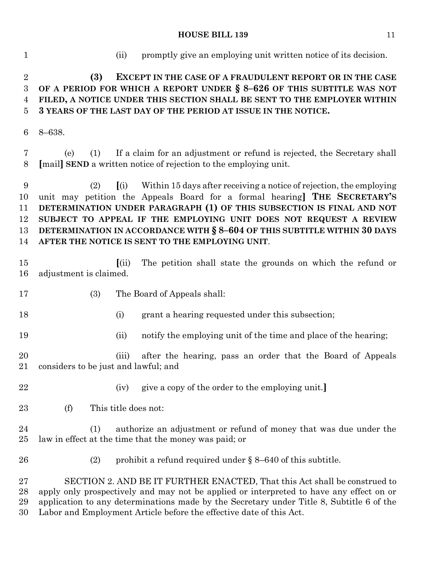#### **HOUSE BILL 139** 11

 (ii) promptly give an employing unit written notice of its decision. **(3) EXCEPT IN THE CASE OF A FRAUDULENT REPORT OR IN THE CASE OF A PERIOD FOR WHICH A REPORT UNDER § 8–626 OF THIS SUBTITLE WAS NOT FILED, A NOTICE UNDER THIS SECTION SHALL BE SENT TO THE EMPLOYER WITHIN 3 YEARS OF THE LAST DAY OF THE PERIOD AT ISSUE IN THE NOTICE.** 8–638. (e) (1) If a claim for an adjustment or refund is rejected, the Secretary shall **[**mail**] SEND** a written notice of rejection to the employing unit. (2) **[**(i) Within 15 days after receiving a notice of rejection, the employing unit may petition the Appeals Board for a formal hearing**] THE SECRETARY'S DETERMINATION UNDER PARAGRAPH (1) OF THIS SUBSECTION IS FINAL AND NOT SUBJECT TO APPEAL IF THE EMPLOYING UNIT DOES NOT REQUEST A REVIEW DETERMINATION IN ACCORDANCE WITH § 8–604 OF THIS SUBTITLE WITHIN 30 DAYS AFTER THE NOTICE IS SENT TO THE EMPLOYING UNIT**. **[**(ii) The petition shall state the grounds on which the refund or adjustment is claimed. (3) The Board of Appeals shall: (i) grant a hearing requested under this subsection; (ii) notify the employing unit of the time and place of the hearing; (iii) after the hearing, pass an order that the Board of Appeals considers to be just and lawful; and (iv) give a copy of the order to the employing unit.**]** (f) This title does not: (1) authorize an adjustment or refund of money that was due under the law in effect at the time that the money was paid; or (2) prohibit a refund required under § 8–640 of this subtitle. SECTION 2. AND BE IT FURTHER ENACTED, That this Act shall be construed to apply only prospectively and may not be applied or interpreted to have any effect on or application to any determinations made by the Secretary under Title 8, Subtitle 6 of the

Labor and Employment Article before the effective date of this Act.